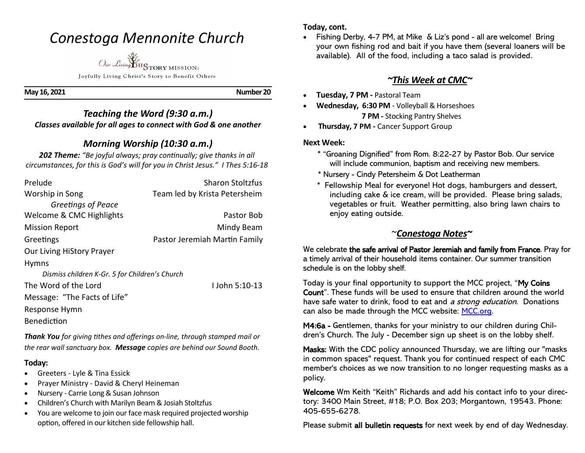## *Conestoga Mennonite Church*



Joyfully Living Christ's Story to Benefit Others

**May 16, 2021 Number 20** 

#### *Teaching the Word (9:30 a.m.) Classes available for all ages to connect with God & one another*

## *Morning Worship (10:30 a.m.)*

*202 Theme: "Be joyful always; pray continually; give thanks in all circumstances, for this is God's will for you in Christ Jesus." I Thes 5:16-18*

| Prelude                                        | <b>Sharon Stoltzfus</b>       |
|------------------------------------------------|-------------------------------|
| Worship in Song                                | Team led by Krista Petersheim |
| Greetings of Peace                             |                               |
| Welcome & CMC Highlights                       | Pastor Bob                    |
| <b>Mission Report</b>                          | Mindy Beam                    |
| Greetings                                      | Pastor Jeremiah Martin Family |
| Our Living HiStory Prayer                      |                               |
| <b>Hymns</b>                                   |                               |
| Dismiss children K-Gr. 5 for Children's Church |                               |
| The Word of the Lord                           | $L$ John 5:10-13              |
| Message: "The Facts of Life"                   |                               |
| Response Hymn                                  |                               |

**Benediction** 

*Thank You for giving tithes and offerings on-line, through stamped mail or the rear wall sanctuary box. Message copies are behind our Sound Booth.*

#### **Today:**

- Greeters Lyle & Tina Essick
- Prayer Ministry David & Cheryl Heineman
- Nursery Carrie Long & Susan Johnson
- Children's Church with Marilyn Beam & Josiah Stoltzfus
- You are welcome to join our face mask required projected worship option, offered in our kitchen side fellowship hall.

#### **Today, cont.**

• Fishing Derby, 4-7 PM, at Mike & Liz's pond - all are welcome! Bring your own fishing rod and bait if you have them (several loaners will be available). All of the food, including a taco salad is provided.

### *~This Week at CMC~*

- **Tuesday, 7 PM -** Pastoral Team
- **Wednesday, 6:30 PM**  Volleyball & Horseshoes  **7 PM -** Stocking Pantry Shelves
- **Thursday, 7 PM -** Cancer Support Group

#### **Next Week:**

- \* "Groaning Dignified" from Rom. 8:22-27 by Pastor Bob. Our service will include communion, baptism and receiving new members.
- \* Nursery Cindy Petersheim & Dot Leatherman
- \* Fellowship Meal for everyone! Hot dogs, hamburgers and dessert, including cake & ice cream, will be provided. Please bring salads, vegetables or fruit. Weather permitting, also bring lawn chairs to enjoy eating outside.

## ~*Conestoga Notes~*

We celebrate the safe arrival of Pastor Jeremiah and family from France. Pray for a timely arrival of their household items container. Our summer transition schedule is on the lobby shelf.

Today is your final opportunity to support the MCC project, "My Coins Count". These funds will be used to ensure that children around the world have safe water to drink, food to eat and a strong education. Donations can also be made through the MCC website: MCC.org.

M4:6a - Gentlemen, thanks for your ministry to our children during Children's Church. The July - December sign up sheet is on the lobby shelf.

Masks: With the CDC policy announced Thursday, we are lifting our "masks in common spaces" request. Thank you for continued respect of each CMC member's choices as we now transition to no longer requesting masks as a policy.

Welcome Wm Keith "Keith" Richards and add his contact info to your directory: 3400 Main Street, #18; P.O. Box 203; Morgantown, 19543. Phone: 405-655-6278.

Please submit all bulletin requests for next week by end of day Wednesday.